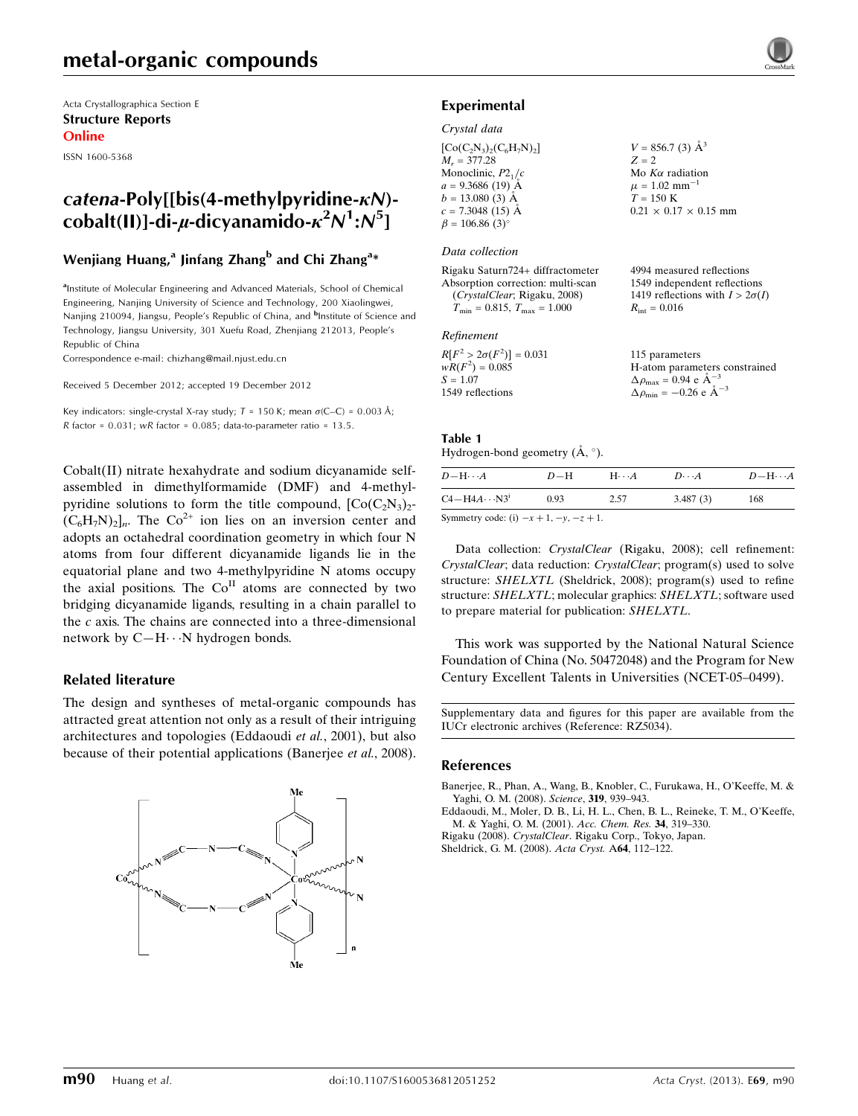# metal-organic compounds

Acta Crystallographica Section E Structure Reports Online

ISSN 1600-5368

# catena-Poly[[bis(4-methylpyridine- $\kappa$ N)cobalt(II)]-di-µ-dicyanamido- $\kappa^2 N^1$ : $N^5$ ]

# Wenjiang Huang,<sup>a</sup> Jinfang Zhang<sup>b</sup> and Chi Zhang<sup>a</sup>\*

<sup>a</sup>Institute of Molecular Engineering and Advanced Materials, School of Chemical Engineering, Nanjing University of Science and Technology, 200 Xiaolingwei, Nanjing 210094, Jiangsu, People's Republic of China, and <sup>b</sup>Institute of Science and Technology, Jiangsu University, 301 Xuefu Road, Zhenjiang 212013, People's Republic of China

Correspondence e-mail: chizhang@mail.niust.edu.cn

Received 5 December 2012; accepted 19 December 2012

Key indicators: single-crystal X-ray study;  $T = 150$  K; mean  $\sigma$ (C–C) = 0.003 Å; R factor =  $0.031$ ; wR factor =  $0.085$ ; data-to-parameter ratio =  $13.5$ .

Cobalt(II) nitrate hexahydrate and sodium dicyanamide selfassembled in dimethylformamide (DMF) and 4-methylpyridine solutions to form the title compound,  $[Co(C<sub>2</sub>N<sub>3</sub>)<sub>2</sub>$ - $(C_6H_7N)_2$ <sub>n</sub>. The Co<sup>2+</sup> ion lies on an inversion center and adopts an octahedral coordination geometry in which four N atoms from four different dicyanamide ligands lie in the equatorial plane and two 4-methylpyridine N atoms occupy the axial positions. The  $Co<sup>H</sup>$  atoms are connected by two bridging dicyanamide ligands, resulting in a chain parallel to the c axis. The chains are connected into a three-dimensional network by C-H $\cdots$ N hydrogen bonds.

## Related literature

The design and syntheses of metal-organic compounds has attracted great attention not only as a result of their intriguing architectures and topologies (Eddaoudi et al., 2001), but also because of their potential applications (Banerjee et al., 2008).



# Experimental

#### Crystal data

| $[Co(C2N3)2(C6H7N)2]$             | $V = 856.7$ (3) $\AA^3$           |
|-----------------------------------|-----------------------------------|
| $M_r = 377.28$                    | $Z = 2$                           |
| Monoclinic, $P2_1/c$              | Mo $K\alpha$ radiation            |
| $a = 9.3686(19)$ Å                | $\mu = 1.02$ mm <sup>-1</sup>     |
| $b = 13.080$ (3) Å                | $T = 150 \text{ K}$               |
| $c = 7.3048(15)$ Å                | $0.21 \times 0.17 \times 0.15$ mm |
| $\beta = 106.86$ (3) <sup>o</sup> |                                   |

## Data collection

Rigaku Saturn724+ diffractometer Absorption correction: multi-scan (CrystalClear; Rigaku, 2008)  $T_{\text{min}} = 0.815, T_{\text{max}} = 1.000$ 

#### Refinement

| $R[F^2 > 2\sigma(F^2)] = 0.031$ | 115 parameters                                     |
|---------------------------------|----------------------------------------------------|
| $wR(F^2) = 0.085$               | H-atom parameters constrained                      |
| $S = 1.07$                      | $\Delta \rho_{\text{max}} = 0.94 \text{ e A}^{-3}$ |
| 1549 reflections                | $\Delta \rho_{\text{min}} = -0.26$ e $\AA^{-3}$    |

4994 measured reflections 1549 independent reflections 1419 reflections with  $I > 2\sigma(I)$ 

 $R_{\text{int}} = 0.016$ 

#### Table 1

Hydrogen-bond geometry  $(\mathring{A}, \degree)$ .

| $D$ — $H \cdots A$                       | $D-H$ | $H\cdots A$ | $D\cdots A$ | $D-\mathrm{H}\cdots A$ |
|------------------------------------------|-------|-------------|-------------|------------------------|
| $C4 - H4A \cdots N3^i$                   | 0.93  | 2.57        | 3.487(3)    | 168                    |
| Symmetry code: $(i) = r + 1 - y = r + 1$ |       |             |             |                        |

Symmetry code: (i)  $-x+1$ ,  $-y$ ,  $-z + 1$ .

Data collection: CrystalClear (Rigaku, 2008); cell refinement: CrystalClear; data reduction: CrystalClear; program(s) used to solve structure: SHELXTL (Sheldrick, 2008); program(s) used to refine structure: SHELXTL; molecular graphics: SHELXTL; software used to prepare material for publication: SHELXTL.

This work was supported by the National Natural Science Foundation of China (No. 50472048) and the Program for New Century Excellent Talents in Universities (NCET-05–0499).

Supplementary data and figures for this paper are available from the IUCr electronic archives (Reference: RZ5034).

### References

[Banerjee, R., Phan, A., Wang, B., Knobler, C., Furukawa, H., O'Keeffe, M. &](https://scripts.iucr.org/cgi-bin/cr.cgi?rm=pdfbb&cnor=rz5034&bbid=BB1) [Yaghi, O. M. \(2008\).](https://scripts.iucr.org/cgi-bin/cr.cgi?rm=pdfbb&cnor=rz5034&bbid=BB1) Science, 319, 939–943.

[Eddaoudi, M., Moler, D. B., Li, H. L., Chen, B. L., Reineke, T. M., O'Keeffe,](https://scripts.iucr.org/cgi-bin/cr.cgi?rm=pdfbb&cnor=rz5034&bbid=BB2) [M. & Yaghi, O. M. \(2001\).](https://scripts.iucr.org/cgi-bin/cr.cgi?rm=pdfbb&cnor=rz5034&bbid=BB2) Acc. Chem. Res. 34, 319–330.

Rigaku (2008). CrystalClear[. Rigaku Corp., Tokyo, Japan.](https://scripts.iucr.org/cgi-bin/cr.cgi?rm=pdfbb&cnor=rz5034&bbid=BB3)

[Sheldrick, G. M. \(2008\).](https://scripts.iucr.org/cgi-bin/cr.cgi?rm=pdfbb&cnor=rz5034&bbid=BB4) Acta Cryst. A64, 112–122.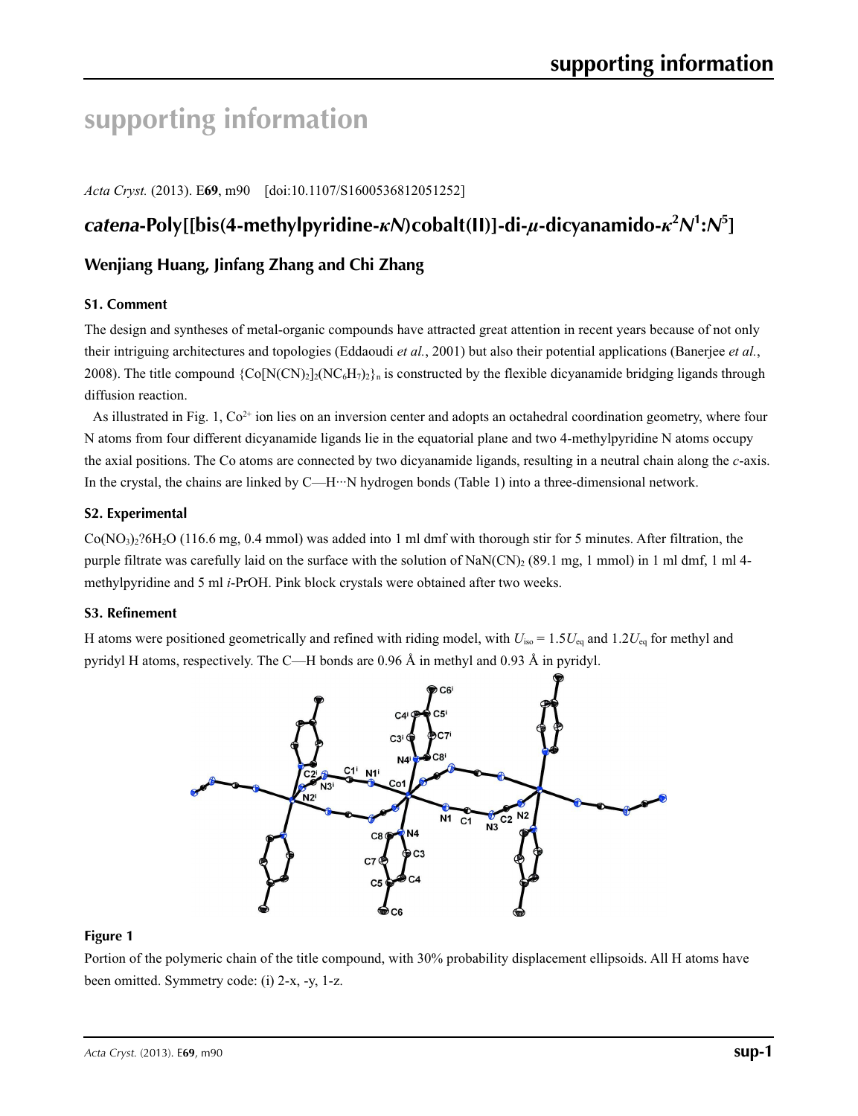# **supporting information**

*Acta Cryst.* (2013). E**69**, m90 [doi:10.1107/S1600536812051252]

# *catena***-Poly[[bis(4-methylpyridine-***κN***)cobalt(II)]-di-***µ***-dicyanamido-***κ***<sup>2</sup>** *N***1 :***N***<sup>5</sup> ]**

# **Wenjiang Huang, Jinfang Zhang and Chi Zhang**

# **S1. Comment**

The design and syntheses of metal-organic compounds have attracted great attention in recent years because of not only their intriguing architectures and topologies (Eddaoudi *et al.*, 2001) but also their potential applications (Banerjee *et al.*, 2008). The title compound  $\{Co[N(CN)_2]_2(NC_6H_7)_2\}$  is constructed by the flexible dicyanamide bridging ligands through diffusion reaction.

As illustrated in Fig. 1,  $Co<sup>2+</sup>$  ion lies on an inversion center and adopts an octahedral coordination geometry, where four N atoms from four different dicyanamide ligands lie in the equatorial plane and two 4-methylpyridine N atoms occupy the axial positions. The Co atoms are connected by two dicyanamide ligands, resulting in a neutral chain along the *c*-axis. In the crystal, the chains are linked by C—H···N hydrogen bonds (Table 1) into a three-dimensional network.

# **S2. Experimental**

 $Co(NO<sub>3</sub>)<sub>2</sub>$ <sup>2</sup> $OH<sub>2</sub>O$  (116.6 mg, 0.4 mmol) was added into 1 ml dmf with thorough stir for 5 minutes. After filtration, the purple filtrate was carefully laid on the surface with the solution of NaN(CN)<sub>2</sub> (89.1 mg, 1 mmol) in 1 ml dmf, 1 ml 4methylpyridine and 5 ml *i*-PrOH. Pink block crystals were obtained after two weeks.

## **S3. Refinement**

H atoms were positioned geometrically and refined with riding model, with  $U_{\text{iso}} = 1.5U_{\text{eq}}$  and  $1.2U_{\text{eq}}$  for methyl and pyridyl H atoms, respectively. The C—H bonds are 0.96 Å in methyl and 0.93 Å in pyridyl.



# **Figure 1**

Portion of the polymeric chain of the title compound, with 30% probability displacement ellipsoids. All H atoms have been omitted. Symmetry code: (i) 2-x, -y, 1-z.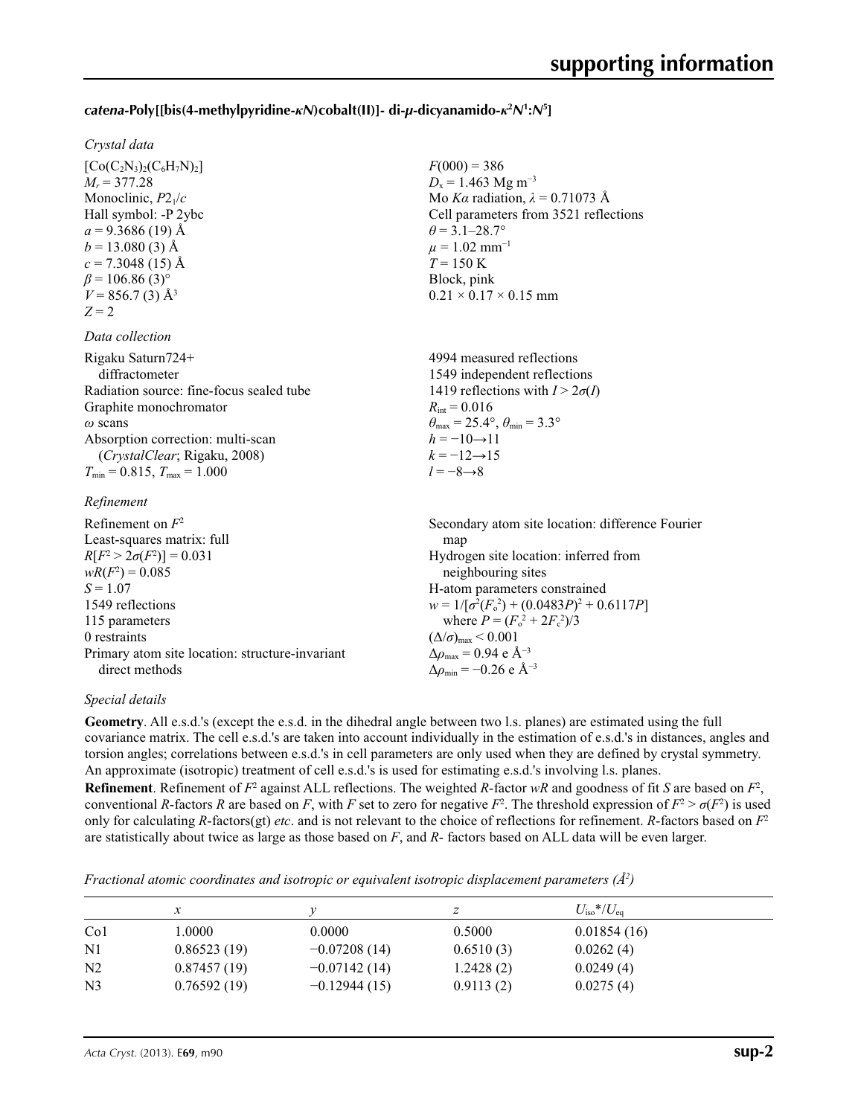# *catena***-Poly[[bis(4-methylpyridine-***κN***)cobalt(II)]- di-***µ***-dicyanamido-***κ***<sup>2</sup>** *N***<sup>1</sup> :***N***<sup>5</sup> ]**

## *Crystal data*

 $[C_0(C_2N_3)_2(C_6H_7N)_2]$  $M_r = 377.28$ Monoclinic, *P*21/*c* Hall symbol: -P 2ybc  $a = 9.3686(19)$  Å  $b = 13.080(3)$  Å  $c = 7.3048(15)$  Å  $\beta$  = 106.86 (3)<sup>°</sup>  $V = 856.7$  (3)  $\AA$ <sup>3</sup>  $Z = 2$ 

## *Data collection*

| Rigaku Saturn724+                        | 4994 measured reflections                                               |
|------------------------------------------|-------------------------------------------------------------------------|
| diffractometer                           | 1549 independent reflections                                            |
| Radiation source: fine-focus sealed tube | 1419 reflections with $I > 2\sigma(I)$                                  |
| Graphite monochromator                   | $R_{\text{int}} = 0.016$                                                |
| $\omega$ scans                           | $\theta_{\text{max}} = 25.4^{\circ}, \theta_{\text{min}} = 3.3^{\circ}$ |
| Absorption correction: multi-scan        | $h = -10 \rightarrow 11$                                                |
| (CrystalClear; Rigaku, 2008)             | $k = -12 \rightarrow 15$                                                |
| $T_{\min}$ = 0.815, $T_{\max}$ = 1.000   | $l = -8 \rightarrow 8$                                                  |
| Refinement                               |                                                                         |

| Refinement on $F^2$                             | Secondary atom site location: difference Fourier   |
|-------------------------------------------------|----------------------------------------------------|
| Least-squares matrix: full                      | map                                                |
| $R[F^2 > 2\sigma(F^2)] = 0.031$                 | Hydrogen site location: inferred from              |
| $wR(F^2) = 0.085$                               | neighbouring sites                                 |
| $S = 1.07$                                      | H-atom parameters constrained                      |
| 1549 reflections                                | $w = 1/[\sigma^2(F_0^2) + (0.0483P)^2 + 0.6117P]$  |
| 115 parameters                                  | where $P = (F_o^2 + 2F_c^2)/3$                     |
| 0 restraints                                    | $(\Delta/\sigma)_{\text{max}}$ < 0.001             |
| Primary atom site location: structure-invariant | $\Delta\rho_{\text{max}} = 0.94$ e Å <sup>-3</sup> |
| direct methods                                  | $\Delta \rho_{\rm min} = -0.26$ e Å <sup>-3</sup>  |

# *Special details*

**Geometry**. All e.s.d.'s (except the e.s.d. in the dihedral angle between two l.s. planes) are estimated using the full covariance matrix. The cell e.s.d.'s are taken into account individually in the estimation of e.s.d.'s in distances, angles and torsion angles; correlations between e.s.d.'s in cell parameters are only used when they are defined by crystal symmetry. An approximate (isotropic) treatment of cell e.s.d.'s is used for estimating e.s.d.'s involving l.s. planes.

 $F(000) = 386$  $D_x = 1.463$  Mg m<sup>-3</sup>

 $\theta$  = 3.1–28.7°  $\mu = 1.02$  mm<sup>-1</sup>  $T = 150 K$ Block, pink

 $0.21 \times 0.17 \times 0.15$  mm

Mo *Kα* radiation, *λ* = 0.71073 Å Cell parameters from 3521 reflections

**Refinement**. Refinement of  $F^2$  against ALL reflections. The weighted  $R$ -factor  $wR$  and goodness of fit  $S$  are based on  $F^2$ , conventional *R*-factors *R* are based on *F*, with *F* set to zero for negative  $F^2$ . The threshold expression of  $F^2 > \sigma(F^2)$  is used only for calculating *R*-factors(gt) *etc*. and is not relevant to the choice of reflections for refinement. *R*-factors based on *F*<sup>2</sup> are statistically about twice as large as those based on *F*, and *R*- factors based on ALL data will be even larger.

*Fractional atomic coordinates and isotropic or equivalent isotropic displacement parameters (Å<sup>2</sup>)* 

|                 | x           |                | z         | $U_{\rm iso}*/U_{\rm eq}$ |  |
|-----------------|-------------|----------------|-----------|---------------------------|--|
| Co <sub>1</sub> | .0000       | 0.0000         | 0.5000    | 0.01854(16)               |  |
| N <sub>1</sub>  | 0.86523(19) | $-0.07208(14)$ | 0.6510(3) | 0.0262(4)                 |  |
| N <sub>2</sub>  | 0.87457(19) | $-0.07142(14)$ | 1.2428(2) | 0.0249(4)                 |  |
| N <sub>3</sub>  | 0.76592(19) | $-0.12944(15)$ | 0.9113(2) | 0.0275(4)                 |  |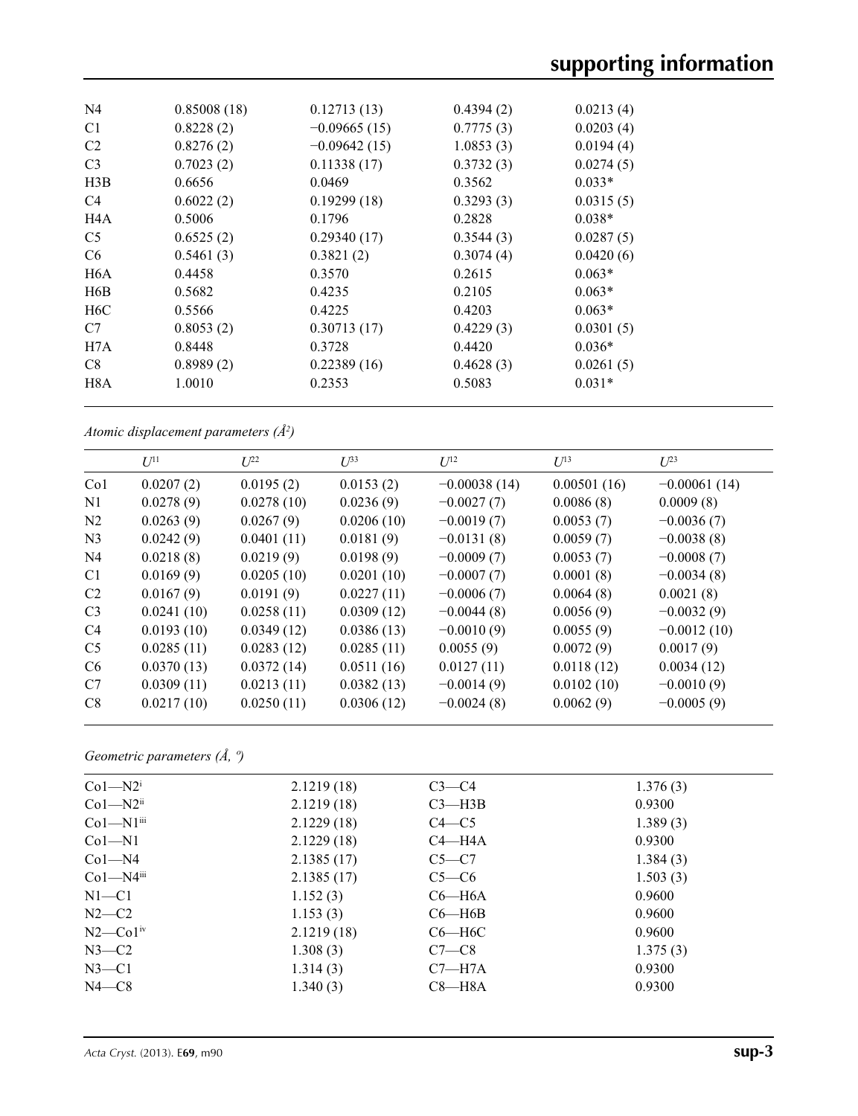| N <sub>4</sub>   | 0.85008(18) | 0.12713(13)    | 0.4394(2) | 0.0213(4) |
|------------------|-------------|----------------|-----------|-----------|
| C1               | 0.8228(2)   | $-0.09665(15)$ | 0.7775(3) | 0.0203(4) |
| C <sub>2</sub>   | 0.8276(2)   | $-0.09642(15)$ | 1.0853(3) | 0.0194(4) |
| C <sub>3</sub>   | 0.7023(2)   | 0.11338(17)    | 0.3732(3) | 0.0274(5) |
| H3B              | 0.6656      | 0.0469         | 0.3562    | $0.033*$  |
| C <sub>4</sub>   | 0.6022(2)   | 0.19299(18)    | 0.3293(3) | 0.0315(5) |
| H4A              | 0.5006      | 0.1796         | 0.2828    | $0.038*$  |
| C <sub>5</sub>   | 0.6525(2)   | 0.29340(17)    | 0.3544(3) | 0.0287(5) |
| C <sub>6</sub>   | 0.5461(3)   | 0.3821(2)      | 0.3074(4) | 0.0420(6) |
| H6A              | 0.4458      | 0.3570         | 0.2615    | $0.063*$  |
| H6B              | 0.5682      | 0.4235         | 0.2105    | $0.063*$  |
| H <sub>6</sub> C | 0.5566      | 0.4225         | 0.4203    | $0.063*$  |
| C7               | 0.8053(2)   | 0.30713(17)    | 0.4229(3) | 0.0301(5) |
| H7A              | 0.8448      | 0.3728         | 0.4420    | $0.036*$  |
| C8               | 0.8989(2)   | 0.22389(16)    | 0.4628(3) | 0.0261(5) |
| H8A              | 1.0010      | 0.2353         | 0.5083    | $0.031*$  |
|                  |             |                |           |           |

*Atomic displacement parameters (Å2 )*

|                 | $U^{11}$   | $U^{22}$   | $U^{33}$   | $U^{12}$       | $U^{13}$    | $U^{23}$       |
|-----------------|------------|------------|------------|----------------|-------------|----------------|
| Co <sub>1</sub> | 0.0207(2)  | 0.0195(2)  | 0.0153(2)  | $-0.00038(14)$ | 0.00501(16) | $-0.00061(14)$ |
| N1              | 0.0278(9)  | 0.0278(10) | 0.0236(9)  | $-0.0027(7)$   | 0.0086(8)   | 0.0009(8)      |
| N <sub>2</sub>  | 0.0263(9)  | 0.0267(9)  | 0.0206(10) | $-0.0019(7)$   | 0.0053(7)   | $-0.0036(7)$   |
| N <sub>3</sub>  | 0.0242(9)  | 0.0401(11) | 0.0181(9)  | $-0.0131(8)$   | 0.0059(7)   | $-0.0038(8)$   |
| N <sub>4</sub>  | 0.0218(8)  | 0.0219(9)  | 0.0198(9)  | $-0.0009(7)$   | 0.0053(7)   | $-0.0008(7)$   |
| C <sub>1</sub>  | 0.0169(9)  | 0.0205(10) | 0.0201(10) | $-0.0007(7)$   | 0.0001(8)   | $-0.0034(8)$   |
| C <sub>2</sub>  | 0.0167(9)  | 0.0191(9)  | 0.0227(11) | $-0.0006(7)$   | 0.0064(8)   | 0.0021(8)      |
| C <sub>3</sub>  | 0.0241(10) | 0.0258(11) | 0.0309(12) | $-0.0044(8)$   | 0.0056(9)   | $-0.0032(9)$   |
| C <sub>4</sub>  | 0.0193(10) | 0.0349(12) | 0.0386(13) | $-0.0010(9)$   | 0.0055(9)   | $-0.0012(10)$  |
| C <sub>5</sub>  | 0.0285(11) | 0.0283(12) | 0.0285(11) | 0.0055(9)      | 0.0072(9)   | 0.0017(9)      |
| C <sub>6</sub>  | 0.0370(13) | 0.0372(14) | 0.0511(16) | 0.0127(11)     | 0.0118(12)  | 0.0034(12)     |
| C7              | 0.0309(11) | 0.0213(11) | 0.0382(13) | $-0.0014(9)$   | 0.0102(10)  | $-0.0010(9)$   |
| C8              | 0.0217(10) | 0.0250(11) | 0.0306(12) | $-0.0024(8)$   | 0.0062(9)   | $-0.0005(9)$   |
|                 |            |            |            |                |             |                |

*Geometric parameters (Å, º)*

| $Co1 - N2i$               | 2.1219(18) | $C3-C4$    | 1.376(3) |
|---------------------------|------------|------------|----------|
| $Co1 - N2$ <sup>ii</sup>  | 2.1219(18) | $C3$ —H3B  | 0.9300   |
| $Co1 - N1$ <sup>iii</sup> | 2.1229(18) | $C4 - C5$  | 1.389(3) |
| $Co1-M1$                  | 2.1229(18) | $C4 - H4A$ | 0.9300   |
| $Co1 - N4$                | 2.1385(17) | $C5-C7$    | 1.384(3) |
| $Co1-M4$ <sup>iii</sup>   | 2.1385(17) | $C5-C6$    | 1.503(3) |
| $N1 - C1$                 | 1.152(3)   | $C6 - H6A$ | 0.9600   |
| $N2-C2$                   | 1.153(3)   | $C6 - H6B$ | 0.9600   |
| $N2$ —Co $1iv$            | 2.1219(18) | $C6 - H6C$ | 0.9600   |
| $N3-C2$                   | 1.308(3)   | $C7-C8$    | 1.375(3) |
| $N3 - C1$                 | 1.314(3)   | $C7-H7A$   | 0.9300   |
| $N4-C8$                   | 1.340(3)   | $C8 - H8A$ | 0.9300   |
|                           |            |            |          |